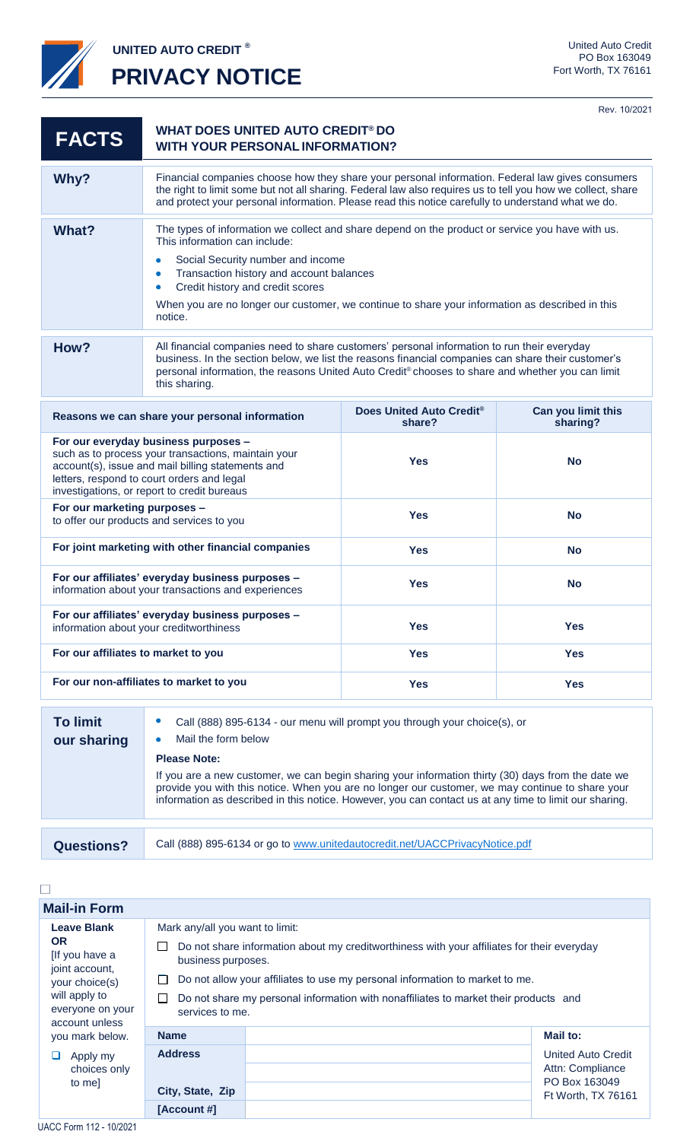

**UNITED AUTO CREDIT ®**

e.

**PRIVACY NOTICE**

Rev. 10/2021

| <b>FACTS</b>                                                                                                                                                                                                                                  | <b>WHAT DOES UNITED AUTO CREDIT® DO</b><br><b>WITH YOUR PERSONAL INFORMATION?</b>                                                                                                                                                                                                                                                                                                                   |                                                |                                |  |
|-----------------------------------------------------------------------------------------------------------------------------------------------------------------------------------------------------------------------------------------------|-----------------------------------------------------------------------------------------------------------------------------------------------------------------------------------------------------------------------------------------------------------------------------------------------------------------------------------------------------------------------------------------------------|------------------------------------------------|--------------------------------|--|
| Why?                                                                                                                                                                                                                                          | Financial companies choose how they share your personal information. Federal law gives consumers<br>the right to limit some but not all sharing. Federal law also requires us to tell you how we collect, share<br>and protect your personal information. Please read this notice carefully to understand what we do.                                                                               |                                                |                                |  |
| <b>What?</b>                                                                                                                                                                                                                                  | The types of information we collect and share depend on the product or service you have with us.<br>This information can include:<br>Social Security number and income<br>$\bullet$<br>Transaction history and account balances<br>۰<br>Credit history and credit scores<br>$\bullet$<br>When you are no longer our customer, we continue to share your information as described in this<br>notice. |                                                |                                |  |
| How?                                                                                                                                                                                                                                          | All financial companies need to share customers' personal information to run their everyday<br>business. In the section below, we list the reasons financial companies can share their customer's<br>personal information, the reasons United Auto Credit® chooses to share and whether you can limit<br>this sharing.                                                                              |                                                |                                |  |
| Reasons we can share your personal information                                                                                                                                                                                                |                                                                                                                                                                                                                                                                                                                                                                                                     | Does United Auto Credit <sup>®</sup><br>share? | Can you limit this<br>sharing? |  |
| For our everyday business purposes -<br>such as to process your transactions, maintain your<br>account(s), issue and mail billing statements and<br>letters, respond to court orders and legal<br>investigations, or report to credit bureaus |                                                                                                                                                                                                                                                                                                                                                                                                     | <b>Yes</b>                                     | <b>No</b>                      |  |
| For our marketing purposes -<br>to offer our products and services to you                                                                                                                                                                     |                                                                                                                                                                                                                                                                                                                                                                                                     | <b>Yes</b>                                     | <b>No</b>                      |  |
| For joint marketing with other financial companies                                                                                                                                                                                            |                                                                                                                                                                                                                                                                                                                                                                                                     | <b>Yes</b>                                     | <b>No</b>                      |  |
| For our affiliates' everyday business purposes -<br>information about your transactions and experiences                                                                                                                                       |                                                                                                                                                                                                                                                                                                                                                                                                     | <b>Yes</b>                                     | <b>No</b>                      |  |
| For our affiliates' everyday business purposes -<br>information about your creditworthiness                                                                                                                                                   |                                                                                                                                                                                                                                                                                                                                                                                                     | <b>Yes</b>                                     | <b>Yes</b>                     |  |
| For our affiliates to market to you                                                                                                                                                                                                           |                                                                                                                                                                                                                                                                                                                                                                                                     | <b>Yes</b>                                     | <b>Yes</b>                     |  |
| For our non-affiliates to market to you                                                                                                                                                                                                       |                                                                                                                                                                                                                                                                                                                                                                                                     | <b>Yes</b>                                     | <b>Yes</b>                     |  |
| <b>To limit</b><br>Call (888) 895-6134 - our menu will prompt you through your choice(s), or<br>Mail the form helow<br>our chorina                                                                                                            |                                                                                                                                                                                                                                                                                                                                                                                                     |                                                |                                |  |

| .<br>our sharing  | <b>Udil (000)</b> 000 010+ 0di mond will prompt you unough your chologicy, or<br>Mail the form below                                                                                                                                                                                                                                    |  |  |
|-------------------|-----------------------------------------------------------------------------------------------------------------------------------------------------------------------------------------------------------------------------------------------------------------------------------------------------------------------------------------|--|--|
|                   | <b>Please Note:</b><br>If you are a new customer, we can begin sharing your information thirty (30) days from the date we<br>provide you with this notice. When you are no longer our customer, we may continue to share your<br>information as described in this notice. However, you can contact us at any time to limit our sharing. |  |  |
|                   |                                                                                                                                                                                                                                                                                                                                         |  |  |
| <b>Questions?</b> | Call (888) 895-6134 or go to www.unitedautocredit.net/UACCPrivacyNotice.pdf                                                                                                                                                                                                                                                             |  |  |

 $\Box$ 

| <b>Mail-in Form</b>                                                    |                                                                                                                       |  |                                   |
|------------------------------------------------------------------------|-----------------------------------------------------------------------------------------------------------------------|--|-----------------------------------|
| <b>Leave Blank</b><br><b>OR</b><br>[If you have a<br>joint account,    | Mark any/all you want to limit:                                                                                       |  |                                   |
|                                                                        | Do not share information about my creditworthiness with your affiliates for their everyday<br>ப<br>business purposes. |  |                                   |
| your choice(s)                                                         | Do not allow your affiliates to use my personal information to market to me.<br>ப                                     |  |                                   |
| will apply to<br>everyone on your<br>account unless<br>you mark below. | $\Box$<br>Do not share my personal information with nonaffiliates to market their products and<br>services to me.     |  |                                   |
|                                                                        | <b>Name</b>                                                                                                           |  | Mail to:                          |
| Apply my<br>choices only<br>to me]                                     | <b>Address</b>                                                                                                        |  | United Auto Credit                |
|                                                                        |                                                                                                                       |  | Attn: Compliance<br>PO Box 163049 |
|                                                                        | City, State, Zip                                                                                                      |  | Ft Worth, TX 76161                |
|                                                                        | [Account #]                                                                                                           |  |                                   |